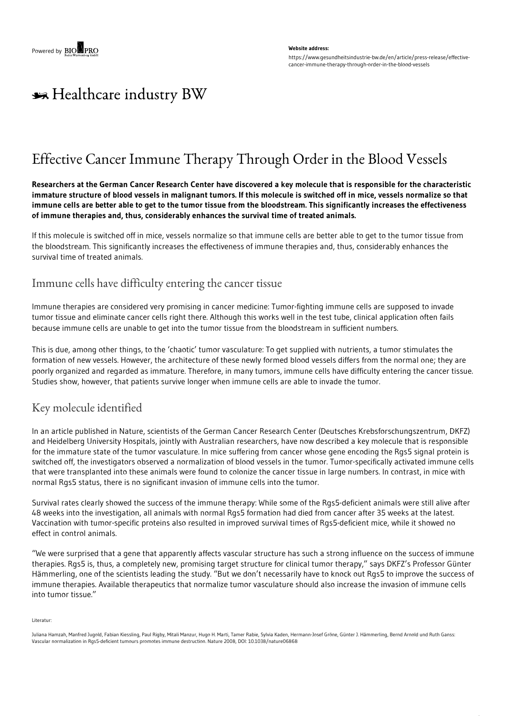#### **Website address:**

https://www.gesundheitsindustrie-bw.de/en/article/press-release/effectivecancer-immune-therapy-through-order-in-the-blood-vessels

# \*\* Healthcare industry BW

## Effective Cancer Immune Therapy Through Order in the Blood Vessels

Researchers at the German Cancer Research Center have discovered a key molecule that is responsible for the characteristic immature structure of blood vessels in malignant tumors. If this molecule is switched off in mice, vessels normalize so that immune cells are better able to get to the tumor tissue from the bloodstream. This significantly increases the effectiveness **of immune therapies and, thus, considerably enhances the survival time of treated animals.**

If this molecule is switched off in mice, vessels normalize so that immune cells are better able to get to the tumor tissue from the bloodstream. This significantly increases the effectiveness of immune therapies and, thus, considerably enhances the survival time of treated animals.

### Immune cells have difficulty entering the cancer tissue

Immune therapies are considered very promising in cancer medicine: Tumor-fighting immune cells are supposed to invade tumor tissue and eliminate cancer cells right there. Although this works well in the test tube, clinical application often fails because immune cells are unable to get into the tumor tissue from the bloodstream in sufficient numbers.

This is due, among other things, to the 'chaotic' tumor vasculature: To get supplied with nutrients, a tumor stimulates the formation of new vessels. However, the architecture of these newly formed blood vessels differs from the normal one; they are poorly organized and regarded as immature. Therefore, in many tumors, immune cells have difficulty entering the cancer tissue. Studies show, however, that patients survive longer when immune cells are able to invade the tumor.

### Key molecule identified

In an article published in Nature, scientists of the German Cancer Research Center (Deutsches Krebsforschungszentrum, DKFZ) and Heidelberg University Hospitals, jointly with Australian researchers, have now described a key molecule that is responsible for the immature state of the tumor vasculature. In mice suffering from cancer whose gene encoding the Rgs5 signal protein is switched off, the investigators observed a normalization of blood vessels in the tumor. Tumor-specifically activated immune cells that were transplanted into these animals were found to colonize the cancer tissue in large numbers. In contrast, in mice with normal Rgs5 status, there is no significant invasion of immune cells into the tumor.

Survival rates clearly showed the success of the immune therapy: While some of the Rgs5-deficient animals were still alive after 48 weeks into the investigation, all animals with normal Rgs5 formation had died from cancer after 35 weeks at the latest. Vaccination with tumor-specific proteins also resulted in improved survival times of Rgs5-deficient mice, while it showed no effect in control animals.

"We were surprised that a gene that apparently affects vascular structure has such a strong influence on the success of immune therapies. Rgs5 is, thus, a completely new, promising target structure for clinical tumor therapy," says DKFZ's Professor Günter Hämmerling, one of the scientists leading the study. "But we don't necessarily have to knock out Rgs5 to improve the success of immune therapies. Available therapeutics that normalize tumor vasculature should also increase the invasion of immune cells into tumor tissue."

Literatur:

Juliana Hamzah, Manfred Jugold, Fabian Kiessling, Paul Rigby, Mitali Manzur, Hugo H. Marti, Tamer Rabie, Sylvia Kaden, Hermann-Josef Gröne, Günter J. Hämmerling, Bernd Arnold und Ruth Ganss: Vascular normalization in Rgs5-deficient tumours promotes immune destruction. Nature 2008, DOI: 10.1038/nature06868